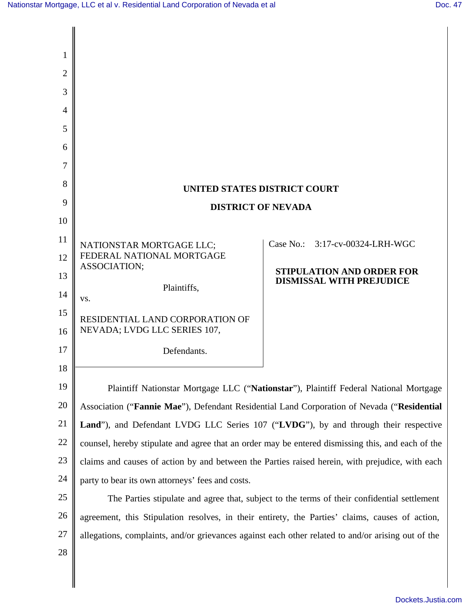| 1              |                                                                                                                                                     |                                                                                                                                                                                     |  |  |
|----------------|-----------------------------------------------------------------------------------------------------------------------------------------------------|-------------------------------------------------------------------------------------------------------------------------------------------------------------------------------------|--|--|
| 2              |                                                                                                                                                     |                                                                                                                                                                                     |  |  |
| 3              |                                                                                                                                                     |                                                                                                                                                                                     |  |  |
| $\overline{4}$ |                                                                                                                                                     |                                                                                                                                                                                     |  |  |
| 5              |                                                                                                                                                     |                                                                                                                                                                                     |  |  |
| 6              |                                                                                                                                                     |                                                                                                                                                                                     |  |  |
| 7              |                                                                                                                                                     |                                                                                                                                                                                     |  |  |
| 8              | <b>UNITED STATES DISTRICT COURT</b>                                                                                                                 |                                                                                                                                                                                     |  |  |
| 9              | <b>DISTRICT OF NEVADA</b>                                                                                                                           |                                                                                                                                                                                     |  |  |
| 10             |                                                                                                                                                     |                                                                                                                                                                                     |  |  |
| 11             | NATIONSTAR MORTGAGE LLC;                                                                                                                            | Case No.: 3:17-cv-00324-LRH-WGC                                                                                                                                                     |  |  |
| 12             | FEDERAL NATIONAL MORTGAGE<br>ASSOCIATION;                                                                                                           | <b>STIPULATION AND ORDER FOR</b>                                                                                                                                                    |  |  |
| 13             | Plaintiffs,                                                                                                                                         | <b>DISMISSAL WITH PREJUDICE</b>                                                                                                                                                     |  |  |
| 14             | VS.                                                                                                                                                 |                                                                                                                                                                                     |  |  |
| 15             | RESIDENTIAL LAND CORPORATION OF<br>NEVADA; LVDG LLC SERIES 107,                                                                                     |                                                                                                                                                                                     |  |  |
| 16             |                                                                                                                                                     |                                                                                                                                                                                     |  |  |
| 17<br>18       | Defendants.                                                                                                                                         |                                                                                                                                                                                     |  |  |
| 19             |                                                                                                                                                     |                                                                                                                                                                                     |  |  |
| 20             |                                                                                                                                                     | Plaintiff Nationstar Mortgage LLC ("Nationstar"), Plaintiff Federal National Mortgage<br>Association ("Fannie Mae"), Defendant Residential Land Corporation of Nevada ("Residential |  |  |
| 21             |                                                                                                                                                     |                                                                                                                                                                                     |  |  |
| 22             |                                                                                                                                                     | Land"), and Defendant LVDG LLC Series 107 ("LVDG"), by and through their respective                                                                                                 |  |  |
| 23             | counsel, hereby stipulate and agree that an order may be entered dismissing this, and each of the                                                   |                                                                                                                                                                                     |  |  |
| 24             | claims and causes of action by and between the Parties raised herein, with prejudice, with each<br>party to bear its own attorneys' fees and costs. |                                                                                                                                                                                     |  |  |
| 25             | The Parties stipulate and agree that, subject to the terms of their confidential settlement                                                         |                                                                                                                                                                                     |  |  |
| 26             | agreement, this Stipulation resolves, in their entirety, the Parties' claims, causes of action,                                                     |                                                                                                                                                                                     |  |  |
| 27             | allegations, complaints, and/or grievances against each other related to and/or arising out of the                                                  |                                                                                                                                                                                     |  |  |
| 28             |                                                                                                                                                     |                                                                                                                                                                                     |  |  |
|                |                                                                                                                                                     |                                                                                                                                                                                     |  |  |
|                |                                                                                                                                                     |                                                                                                                                                                                     |  |  |